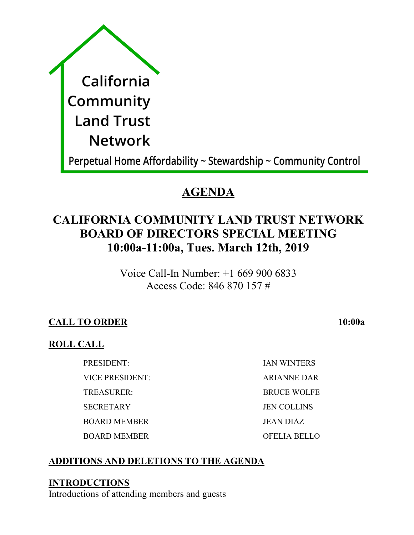|  | California                                                     |
|--|----------------------------------------------------------------|
|  | Community                                                      |
|  | <b>Land Trust</b>                                              |
|  | <b>Network</b>                                                 |
|  | Perpetual Home Affordability ~ Stewardship ~ Community Control |

# **AGENDA**

# **CALIFORNIA COMMUNITY LAND TRUST NETWORK BOARD OF DIRECTORS SPECIAL MEETING 10:00a-11:00a, Tues. March 12th, 2019**

Voice Call-In Number: +1 669 900 6833 Access Code: 846 870 157 #

# **CALL TO ORDER 10:00a**

## **ROLL CALL**

VICE PRESIDENT: ARIANNE DAR

BOARD MEMBER JEAN DIAZ

BOARD MEMBER OFELIA BELLO

PRESIDENT: IAN WINTERS TREASURER: BRUCE WOLFE SECRETARY JEN COLLINS

# **ADDITIONS AND DELETIONS TO THE AGENDA**

## **INTRODUCTIONS**

Introductions of attending members and guests